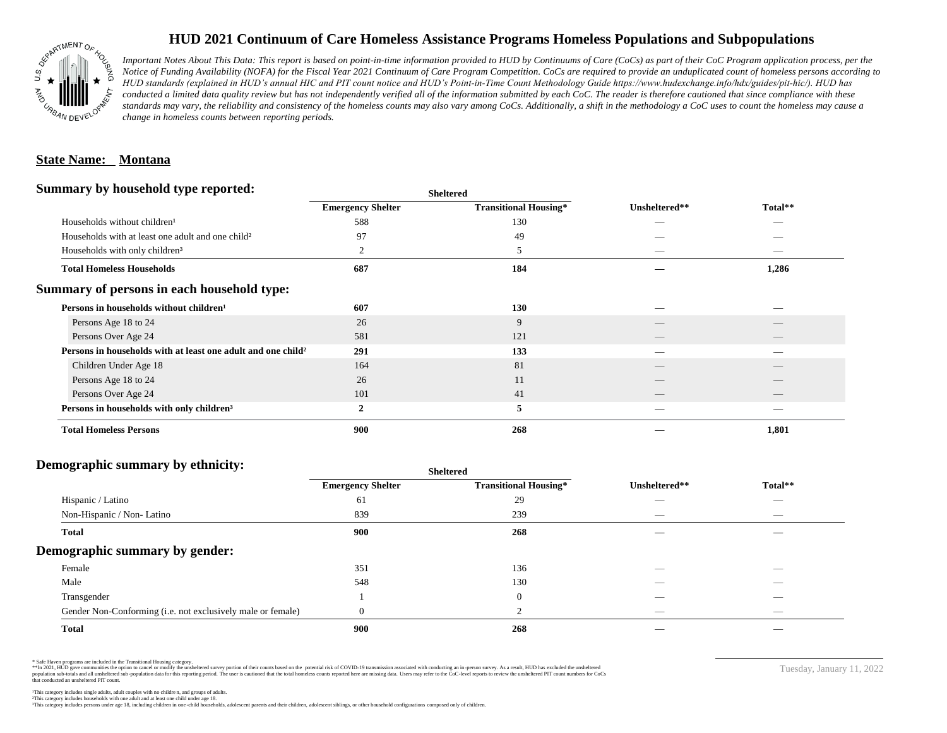

# **HUD 2021 Continuum of Care Homeless Assistance Programs Homeless Populations and Subpopulations**

*Important Notes About This Data: This report is based on point-in-time information provided to HUD by Continuums of Care (CoCs) as part of their CoC Program application process, per the Notice of Funding Availability (NOFA) for the Fiscal Year 2021 Continuum of Care Program Competition. CoCs are required to provide an unduplicated count of homeless persons according to HUD standards (explained in HUD's annual HIC and PIT count notice and HUD's Point-in-Time Count Methodology Guide https://www.hudexchange.info/hdx/guides/pit-hic/). HUD has*  conducted a limited data quality review but has not independently verified all of the information submitted by each CoC. The reader is therefore cautioned that since compliance with these standards may vary, the reliability and consistency of the homeless counts may also vary among CoCs. Additionally, a shift in the methodology a CoC uses to count the homeless may cause a *change in homeless counts between reporting periods.*

### **State Name: Montana**

### **Summary by household type reported:**

| . .                                                                      |                          | энскегси                     |               |         |  |
|--------------------------------------------------------------------------|--------------------------|------------------------------|---------------|---------|--|
|                                                                          | <b>Emergency Shelter</b> | <b>Transitional Housing*</b> | Unsheltered** | Total** |  |
| Households without children <sup>1</sup>                                 | 588                      | 130                          |               | _       |  |
| Households with at least one adult and one child <sup>2</sup>            | 97                       | 49                           |               |         |  |
| Households with only children <sup>3</sup>                               | 2                        | 5                            | _             |         |  |
| <b>Total Homeless Households</b>                                         | 687                      | 184                          |               | 1,286   |  |
| Summary of persons in each household type:                               |                          |                              |               |         |  |
| Persons in households without children <sup>1</sup>                      | 607                      | 130                          |               |         |  |
| Persons Age 18 to 24                                                     | 26                       | 9                            |               |         |  |
| Persons Over Age 24                                                      | 581                      | 121                          | __            |         |  |
| Persons in households with at least one adult and one child <sup>2</sup> | 291                      | 133                          |               |         |  |
| Children Under Age 18                                                    | 164                      | 81                           |               |         |  |
| Persons Age 18 to 24                                                     | 26                       | 11                           |               |         |  |
| Persons Over Age 24                                                      | 101                      | 41                           |               |         |  |
| Persons in households with only children <sup>3</sup>                    | 2                        | 5                            |               |         |  |
| <b>Total Homeless Persons</b>                                            | 900                      | 268                          |               | 1,801   |  |
|                                                                          |                          |                              |               |         |  |

**Sheltered**

#### **Demographic summary by ethnicity:**

|                                                             | <b>Sheltered</b>         |                              |                   |                                |  |
|-------------------------------------------------------------|--------------------------|------------------------------|-------------------|--------------------------------|--|
|                                                             | <b>Emergency Shelter</b> | <b>Transitional Housing*</b> | Unsheltered**     | Total**                        |  |
| Hispanic / Latino                                           | 61                       | 29                           | __                | $\overline{\phantom{a}}$       |  |
| Non-Hispanic / Non-Latino                                   | 839                      | 239                          | $\hspace{0.05cm}$ | $\overbrace{\hspace{25mm}}^{}$ |  |
| <b>Total</b>                                                | 900                      | 268                          |                   |                                |  |
| Demographic summary by gender:                              |                          |                              |                   |                                |  |
| Female                                                      | 351                      | 136                          |                   |                                |  |
| Male                                                        | 548                      | 130                          | __                |                                |  |
| Transgender                                                 |                          | $\overline{0}$               |                   | $\overbrace{\hspace{25mm}}^{}$ |  |
| Gender Non-Conforming (i.e. not exclusively male or female) | $\Omega$                 | $\sim$                       | _                 | $\overline{\phantom{a}}$       |  |
| <b>Total</b>                                                | 900                      | 268                          |                   |                                |  |

\* Safe Haven programs are included in the Transitional Housing category.

\*\*In 2021, HUD gave communities the option to cancel or modify the unsheltered survey portion of their counts based on the potential risk of COVID-19 transmission associated with conducting an in-person survey. As a result n political data for this reporting period. The user is cautioned that the total homeless counts reported here are missing data. Users may refer to the CoC-level reports to review the unshellered PIT count numbers for CoCs that conducted an unsheltered PIT count.

Tuesday, January 11, 2022